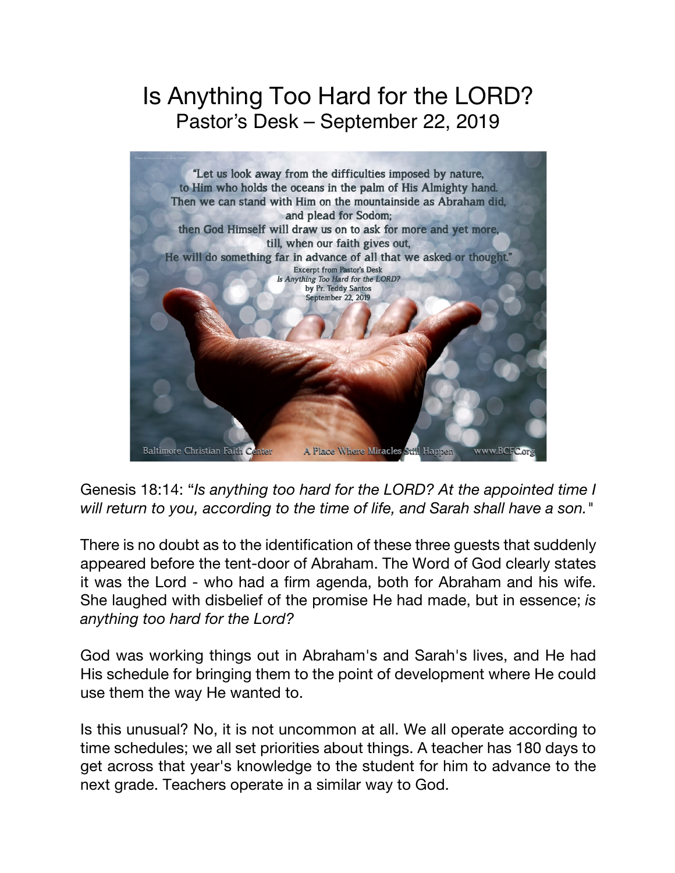## Is Anything Too Hard for the LORD? Pastor's Desk – September 22, 2019



Genesis 18:14: "*Is anything too hard for the LORD? At the appointed time I will return to you, according to the time of life, and Sarah shall have a son."*

There is no doubt as to the identification of these three guests that suddenly appeared before the tent-door of Abraham. The Word of God clearly states it was the Lord - who had a firm agenda, both for Abraham and his wife. She laughed with disbelief of the promise He had made, but in essence; *is anything too hard for the Lord?*

God was working things out in Abraham's and Sarah's lives, and He had His schedule for bringing them to the point of development where He could use them the way He wanted to.

Is this unusual? No, it is not uncommon at all. We all operate according to time schedules; we all set priorities about things. A teacher has 180 days to get across that year's knowledge to the student for him to advance to the next grade. Teachers operate in a similar way to God.